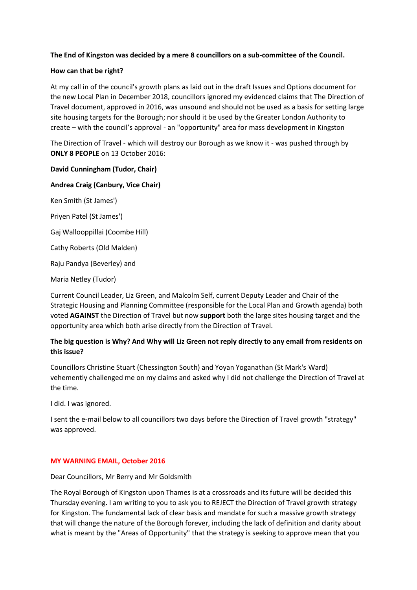## **The End of Kingston was decided by a mere 8 councillors on a sub-committee of the Council.**

### **How can that be right?**

At my call in of the council's growth plans as laid out in the draft Issues and Options document for the new Local Plan in December 2018, councillors ignored my evidenced claims that The Direction of Travel document, approved in 2016, was unsound and should not be used as a basis for setting large site housing targets for the Borough; nor should it be used by the Greater London Authority to create – with the council's approval - an "opportunity" area for mass development in Kingston

The Direction of Travel - which will destroy our Borough as we know it - was pushed through by **ONLY 8 PEOPLE** on 13 October 2016:

### **David Cunningham (Tudor, Chair)**

### **Andrea Craig (Canbury, Vice Chair)**

Ken Smith (St James') Priyen Patel (St James') Gaj Wallooppillai (Coombe Hill) Cathy Roberts (Old Malden) Raju Pandya (Beverley) and

#### Maria Netley (Tudor)

Current Council Leader, Liz Green, and Malcolm Self, current Deputy Leader and Chair of the Strategic Housing and Planning Committee (responsible for the Local Plan and Growth agenda) both voted **AGAINST** the Direction of Travel but now **support** both the large sites housing target and the opportunity area which both arise directly from the Direction of Travel.

# **The big question is Why? And Why will Liz Green not reply directly to any email from residents on this issue?**

Councillors Christine Stuart (Chessington South) and Yoyan Yoganathan (St Mark's Ward) vehemently challenged me on my claims and asked why I did not challenge the Direction of Travel at the time.

I did. I was ignored.

I sent the e-mail below to all councillors two days before the Direction of Travel growth "strategy" was approved.

### **MY WARNING EMAIL, October 2016**

Dear Councillors, Mr Berry and Mr Goldsmith

The Royal Borough of Kingston upon Thames is at a crossroads and its future will be decided this Thursday evening. I am writing to you to ask you to REJECT the Direction of Travel growth strategy for Kingston. The fundamental lack of clear basis and mandate for such a massive growth strategy that will change the nature of the Borough forever, including the lack of definition and clarity about what is meant by the "Areas of Opportunity" that the strategy is seeking to approve mean that you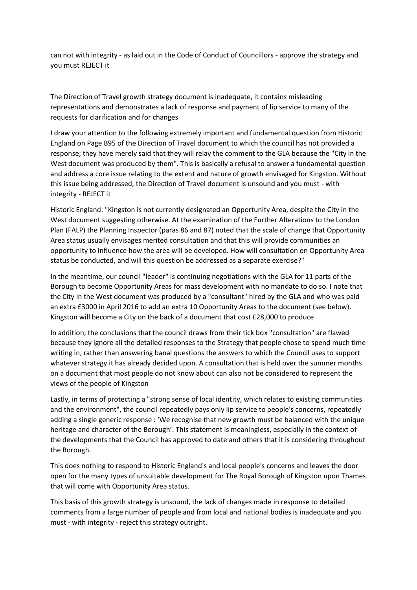can not with integrity - as laid out in the Code of Conduct of Councillors - approve the strategy and you must REJECT it

The Direction of Travel growth strategy document is inadequate, it contains misleading representations and demonstrates a lack of response and payment of lip service to many of the requests for clarification and for changes

I draw your attention to the following extremely important and fundamental question from Historic England on Page B95 of the Direction of Travel document to which the council has not provided a response; they have merely said that they will relay the comment to the GLA because the "City in the West document was produced by them". This is basically a refusal to answer a fundamental question and address a core issue relating to the extent and nature of growth envisaged for Kingston. Without this issue being addressed, the Direction of Travel document is unsound and you must - with integrity - REJECT it

Historic England: "Kingston is not currently designated an Opportunity Area, despite the City in the West document suggesting otherwise. At the examination of the Further Alterations to the London Plan (FALP) the Planning Inspector (paras 86 and 87) noted that the scale of change that Opportunity Area status usually envisages merited consultation and that this will provide communities an opportunity to influence how the area will be developed. How will consultation on Opportunity Area status be conducted, and will this question be addressed as a separate exercise?"

In the meantime, our council "leader" is continuing negotiations with the GLA for 11 parts of the Borough to become Opportunity Areas for mass development with no mandate to do so. I note that the City in the West document was produced by a "consultant" hired by the GLA and who was paid an extra £3000 in April 2016 to add an extra 10 Opportunity Areas to the document (see below). Kingston will become a City on the back of a document that cost £28,000 to produce

In addition, the conclusions that the council draws from their tick box "consultation" are flawed because they ignore all the detailed responses to the Strategy that people chose to spend much time writing in, rather than answering banal questions the answers to which the Council uses to support whatever strategy it has already decided upon. A consultation that is held over the summer months on a document that most people do not know about can also not be considered to represent the views of the people of Kingston

Lastly, in terms of protecting a "strong sense of local identity, which relates to existing communities and the environment", the council repeatedly pays only lip service to people's concerns, repeatedly adding a single generic response : 'We recognise that new growth must be balanced with the unique heritage and character of the Borough'. This statement is meaningless, especially in the context of the developments that the Council has approved to date and others that it is considering throughout the Borough.

This does nothing to respond to Historic England's and local people's concerns and leaves the door open for the many types of unsuitable development for The Royal Borough of Kingston upon Thames that will come with Opportunity Area status.

This basis of this growth strategy is unsound, the lack of changes made in response to detailed comments from a large number of people and from local and national bodies is inadequate and you must - with integrity - reject this strategy outright.